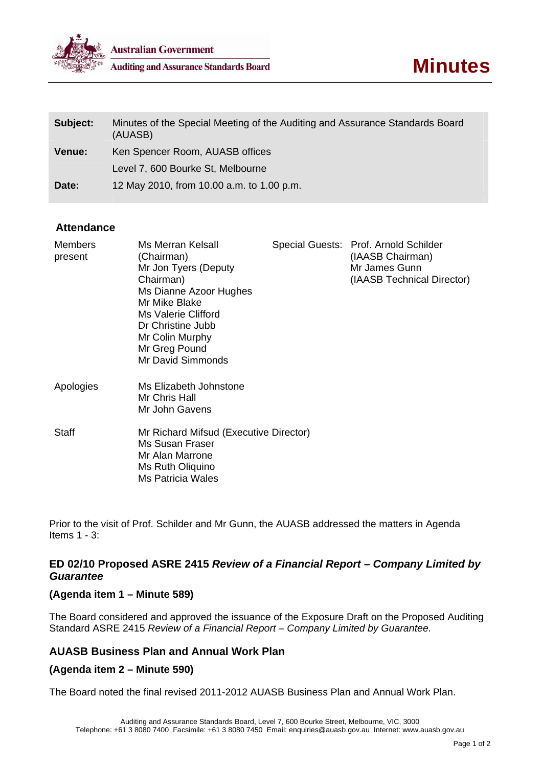

| Subject:      | Minutes of the Special Meeting of the Auditing and Assurance Standards Board<br>(AUASB) |
|---------------|-----------------------------------------------------------------------------------------|
| <b>Venue:</b> | Ken Spencer Room, AUASB offices                                                         |
|               | Level 7, 600 Bourke St, Melbourne                                                       |
| Date:         | 12 May 2010, from 10.00 a.m. to 1.00 p.m.                                               |

#### **Attendance**

| <b>Members</b><br>present | Ms Merran Kelsall<br>(Chairman)<br>Mr Jon Tyers (Deputy<br>Chairman)<br>Ms Dianne Azoor Hughes<br>Mr Mike Blake<br>Ms Valerie Clifford<br>Dr Christine Jubb<br>Mr Colin Murphy<br>Mr Greg Pound<br>Mr David Simmonds | Special Guests: Prof. Arnold Schilder<br>(IAASB Chairman)<br>Mr James Gunn<br>(IAASB Technical Director) |
|---------------------------|----------------------------------------------------------------------------------------------------------------------------------------------------------------------------------------------------------------------|----------------------------------------------------------------------------------------------------------|
| Apologies                 | Ms Elizabeth Johnstone<br>Mr Chris Hall<br>Mr John Gavens                                                                                                                                                            |                                                                                                          |
| <b>Staff</b>              | Mr Richard Mifsud (Executive Director)<br>Ms Susan Fraser<br>Mr Alan Marrone<br>Ms Ruth Oliquino<br>Ms Patricia Wales                                                                                                |                                                                                                          |

Prior to the visit of Prof. Schilder and Mr Gunn, the AUASB addressed the matters in Agenda Items 1 - 3:

## **ED 02/10 Proposed ASRE 2415** *Review of a Financial Report – Company Limited by Guarantee*

#### **(Agenda item 1 – Minute 589)**

The Board considered and approved the issuance of the Exposure Draft on the Proposed Auditing Standard ASRE 2415 *Review of a Financial Report – Company Limited by Guarantee.* 

# **AUASB Business Plan and Annual Work Plan**

#### **(Agenda item 2 – Minute 590)**

The Board noted the final revised 2011-2012 AUASB Business Plan and Annual Work Plan.